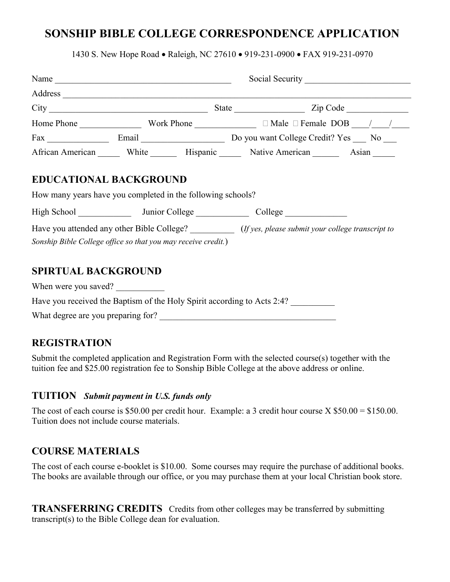# **SONSHIP BIBLE COLLEGE CORRESPONDENCE APPLICATION**

1430 S. New Hope Road • Raleigh, NC 27610 • 919-231-0900 • FAX 919-231-0970

|                                                                                                                              |  |  | African American _______ White _________ Hispanic ________ Native American _________ Asian _______ |  |  |
|------------------------------------------------------------------------------------------------------------------------------|--|--|----------------------------------------------------------------------------------------------------|--|--|
| How many years have you completed in the following schools?<br>Sonship Bible College office so that you may receive credit.) |  |  | Have you attended any other Bible College? (If yes, please submit your college transcript to       |  |  |
| <b>SPIRTUAL BACKGROUND</b><br>When were you saved?                                                                           |  |  | Have you received the Baptism of the Holy Spirit according to Acts 2:4?                            |  |  |
|                                                                                                                              |  |  |                                                                                                    |  |  |

What degree are you preparing for?

## **REGISTRATION**

Submit the completed application and Registration Form with the selected course(s) together with the tuition fee and \$25.00 registration fee to Sonship Bible College at the above address or online.

#### **TUITION** *Submit payment in U.S. funds only*

The cost of each course is \$50.00 per credit hour. Example: a 3 credit hour course X \$50.00 = \$150.00. Tuition does not include course materials.

## **COURSE MATERIALS**

The cost of each course e-booklet is \$10.00. Some courses may require the purchase of additional books. The books are available through our office, or you may purchase them at your local Christian book store.

**TRANSFERRING CREDITS** Credits from other colleges may be transferred by submitting transcript(s) to the Bible College dean for evaluation.